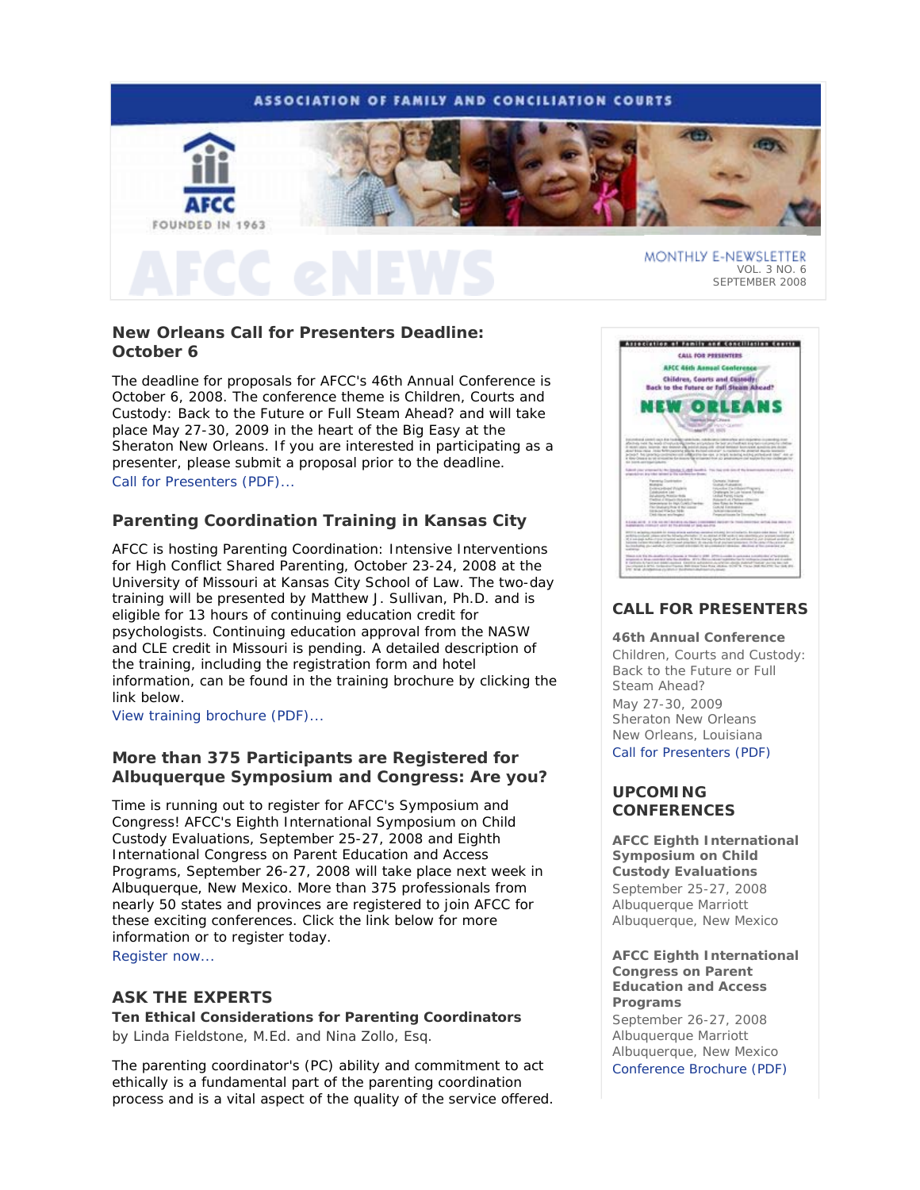

# **New Orleans Call for Presenters Deadline: October 6**

The deadline for proposals for AFCC's 46th Annual Conference is October 6, 2008. The conference theme is *Children, Courts and Custody: Back to the Future or Full Steam Ahead?* and will take place May 27-30, 2009 in the heart of the Big Easy at the Sheraton New Orleans. If you are interested in participating as a presenter, please submit a proposal prior to the deadline. Call for Presenters (PDF)...

# **Parenting Coordination Training in Kansas City**

AFCC is hosting *Parenting Coordination: Intensive Interventions for High Conflict Shared Parenting*, October 23-24, 2008 at the University of Missouri at Kansas City School of Law. The two-day training will be presented by Matthew J. Sullivan, Ph.D. and is eligible for 13 hours of continuing education credit for psychologists. Continuing education approval from the NASW and CLE credit in Missouri is pending. A detailed description of the training, including the registration form and hotel information, can be found in the training brochure by clicking the link below.

View training brochure (PDF)...

# **More than 375 Participants are Registered for Albuquerque Symposium and Congress: Are you?**

Time is running out to register for AFCC's Symposium and Congress! AFCC's *Eighth International Symposium on Child Custody Evaluations*, September 25-27, 2008 and *Eighth International Congress on Parent Education and Access Programs*, September 26-27, 2008 will take place next week in Albuquerque, New Mexico. More than 375 professionals from nearly 50 states and provinces are registered to join AFCC for these exciting conferences. Click the link below for more information or to register today.

Register now...

# **ASK THE EXPERTS**

**Ten Ethical Considerations for Parenting Coordinators**  *by Linda Fieldstone, M.Ed. and Nina Zollo, Esq.* 

The parenting coordinator's (PC) ability and commitment to act ethically is a fundamental part of the parenting coordination process and is a vital aspect of the quality of the service offered.



# **CALL FOR PRESENTERS**

**46th Annual Conference** *Children, Courts and Custody: Back to the Future or Full Steam Ahead?*  May 27-30, 2009 Sheraton New Orleans New Orleans, Louisiana Call for Presenters (PDF)

# **UPCOMING CONFERENCES**

**AFCC Eighth International Symposium on Child Custody Evaluations**  September 25-27, 2008 Albuquerque Marriott Albuquerque, New Mexico

**AFCC Eighth International Congress on Parent Education and Access Programs** 

September 26-27, 2008 Albuquerque Marriott Albuquerque, New Mexico Conference Brochure (PDF)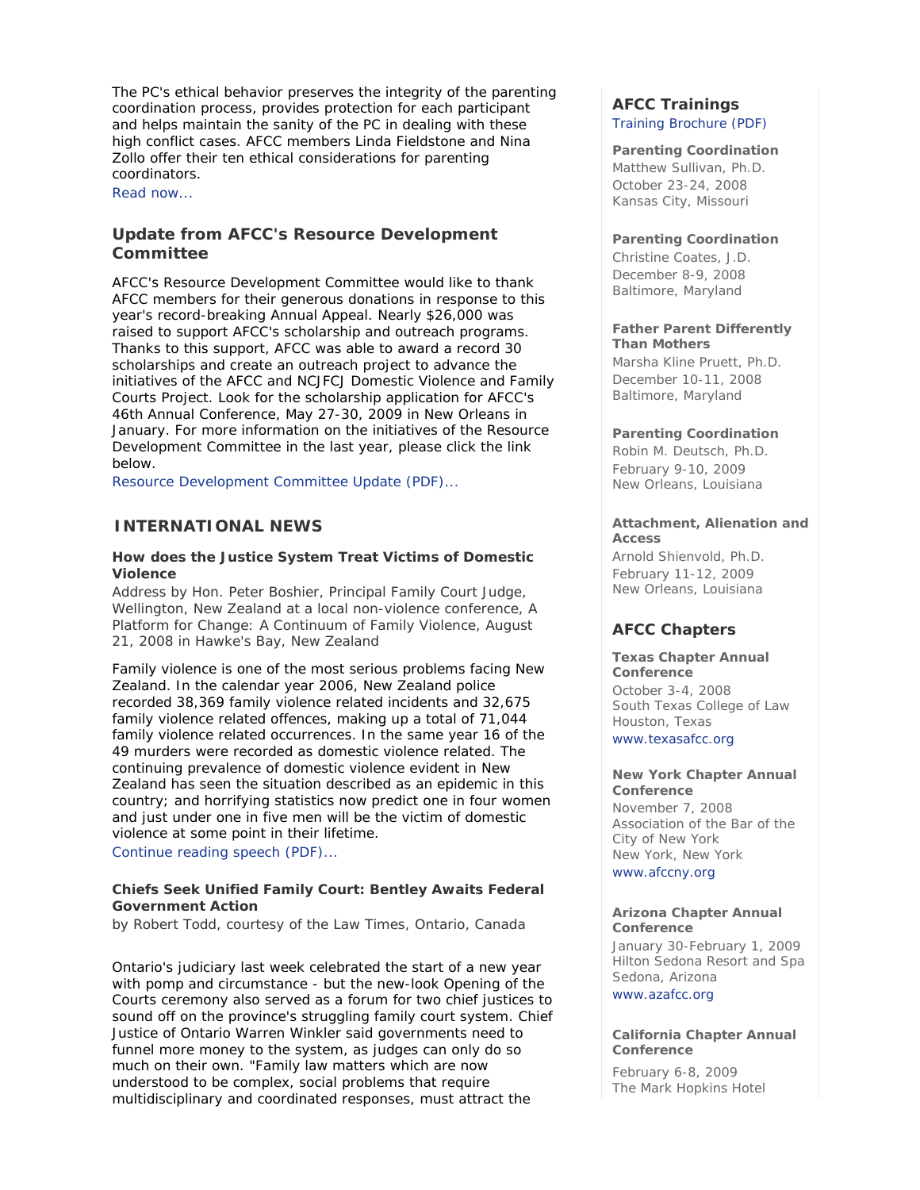The PC's ethical behavior preserves the integrity of the parenting coordination process, provides protection for each participant and helps maintain the sanity of the PC in dealing with these high conflict cases. AFCC members Linda Fieldstone and Nina Zollo offer their ten ethical considerations for parenting coordinators.

Read now...

# **Update from AFCC's Resource Development Committee**

AFCC's Resource Development Committee would like to thank AFCC members for their generous donations in response to this year's record-breaking Annual Appeal. Nearly \$26,000 was raised to support AFCC's scholarship and outreach programs. Thanks to this support, AFCC was able to award a record 30 scholarships and create an outreach project to advance the initiatives of the AFCC and NCJFCJ Domestic Violence and Family Courts Project. Look for the scholarship application for AFCC's 46th Annual Conference, May 27-30, 2009 in New Orleans in January. For more information on the initiatives of the Resource Development Committee in the last year, please click the link below.

Resource Development Committee Update (PDF)...

## **INTERNATIONAL NEWS**

## **How does the Justice System Treat Victims of Domestic Violence**

*Address by Hon. Peter Boshier, Principal Family Court Judge, Wellington, New Zealand at a local non-violence conference, A Platform for Change: A Continuum of Family Violence, August 21, 2008 in Hawke's Bay, New Zealand* 

Family violence is one of the most serious problems facing New Zealand. In the calendar year 2006, New Zealand police recorded 38,369 family violence related incidents and 32,675 family violence related offences, making up a total of 71,044 family violence related occurrences. In the same year 16 of the 49 murders were recorded as domestic violence related. The continuing prevalence of domestic violence evident in New Zealand has seen the situation described as an epidemic in this country; and horrifying statistics now predict one in four women and just under one in five men will be the victim of domestic violence at some point in their lifetime.

Continue reading speech (PDF)...

### **Chiefs Seek Unified Family Court: Bentley Awaits Federal Government Action**

*by Robert Todd, courtesy of the Law Times, Ontario, Canada*

Ontario's judiciary last week celebrated the start of a new year with pomp and circumstance - but the new-look *Opening of the Courts* ceremony also served as a forum for two chief justices to sound off on the province's struggling family court system. Chief Justice of Ontario Warren Winkler said governments need to funnel more money to the system, as judges can only do so much on their own. "Family law matters which are now understood to be complex, social problems that require multidisciplinary and coordinated responses, must attract the

# **AFCC Trainings**  Training Brochure (PDF)

## **Parenting Coordination**

*Matthew Sullivan, Ph.D.* October 23-24, 2008 Kansas City, Missouri

## **Parenting Coordination**

*Christine Coates, J.D.* December 8-9, 2008 Baltimore, Maryland

### **Father Parent Differently Than Mothers**

*Marsha Kline Pruett, Ph.D.* December 10-11, 2008 Baltimore, Maryland

### **Parenting Coordination**

*Robin M. Deutsch, Ph.D.*  February 9-10, 2009 New Orleans, Louisiana

### **Attachment, Alienation and Access**

*Arnold Shienvold, Ph.D.* February 11-12, 2009 New Orleans, Louisiana

# **AFCC Chapters**

#### **Texas Chapter Annual Conference**

October 3-4, 2008 South Texas College of Law Houston, Texas

www.texasafcc.org

#### **New York Chapter Annual Conference**

November 7, 2008 Association of the Bar of the City of New York New York, New York www.afccny.org

### **Arizona Chapter Annual Conference**

January 30-February 1, 2009 Hilton Sedona Resort and Spa Sedona, Arizona

www.azafcc.org

### **California Chapter Annual Conference**

February 6-8, 2009 The Mark Hopkins Hotel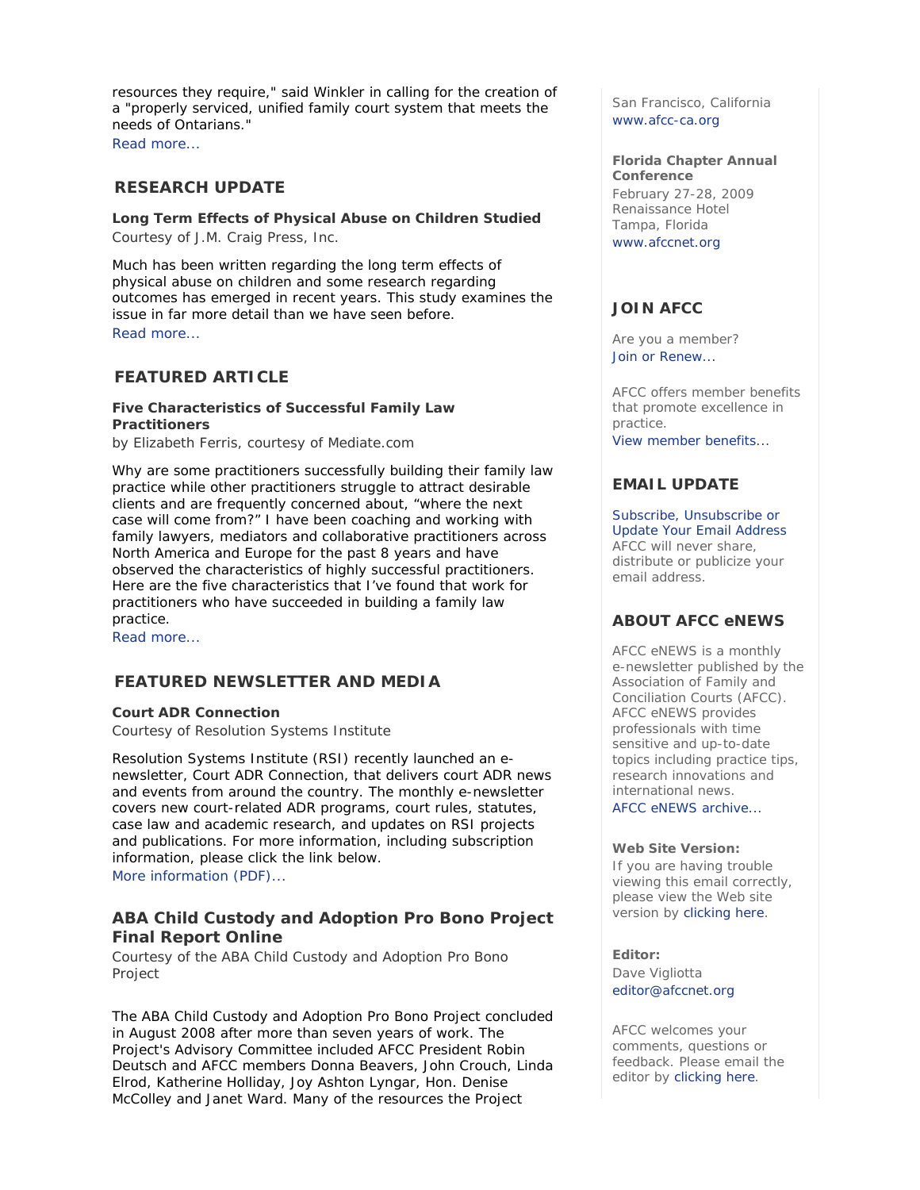resources they require," said Winkler in calling for the creation of a "properly serviced, unified family court system that meets the needs of Ontarians."

Read more...

## **RESEARCH UPDATE**

**Long Term Effects of Physical Abuse on Children Studied**  *Courtesy of J.M. Craig Press, Inc.*

Much has been written regarding the long term effects of physical abuse on children and some research regarding outcomes has emerged in recent years. This study examines the issue in far more detail than we have seen before. Read more...

## **FEATURED ARTICLE**

## **Five Characteristics of Successful Family Law Practitioners**

*by Elizabeth Ferris, courtesy of Mediate.com* 

Why are some practitioners successfully building their family law practice while other practitioners struggle to attract desirable clients and are frequently concerned about, "where the next case will come from?" I have been coaching and working with family lawyers, mediators and collaborative practitioners across North America and Europe for the past 8 years and have observed the characteristics of highly successful practitioners. Here are the five characteristics that I've found that work for practitioners who have succeeded in building a family law practice.

Read more...

## **FEATURED NEWSLETTER AND MEDIA**

# **Court ADR Connection**

*Courtesy of Resolution Systems Institute*

Resolution Systems Institute (RSI) recently launched an enewsletter, *Court ADR Connection*, that delivers court ADR news and events from around the country. The monthly e-newsletter covers new court-related ADR programs, court rules, statutes, case law and academic research, and updates on RSI projects and publications. For more information, including subscription information, please click the link below.

More information (PDF)...

## **ABA Child Custody and Adoption Pro Bono Project Final Report Online**

*Courtesy of the ABA Child Custody and Adoption Pro Bono Project*

The ABA Child Custody and Adoption Pro Bono Project concluded in August 2008 after more than seven years of work. The Project's Advisory Committee included AFCC President Robin Deutsch and AFCC members Donna Beavers, John Crouch, Linda Elrod, Katherine Holliday, Joy Ashton Lyngar, Hon. Denise McColley and Janet Ward. Many of the resources the Project

San Francisco, California www.afcc-ca.org

**Florida Chapter Annual Conference** February 27-28, 2009 Renaissance Hotel Tampa, Florida www.afccnet.org

# **JOIN AFCC**

Are you a member? Join or Renew...

AFCC offers member benefits that promote excellence in practice.

View member benefits...

## **EMAIL UPDATE**

Subscribe, Unsubscribe or Update Your Email Address AFCC will never share, distribute or publicize your email address.

## **ABOUT AFCC eNEWS**

*AFCC eNEWS* is a monthly e-newsletter published by the Association of Family and Conciliation Courts (AFCC). *AFCC eNEWS* provides professionals with time sensitive and up-to-date topics including practice tips, research innovations and international news.

AFCC eNEWS archive...

#### **Web Site Version:**

If you are having trouble viewing this email correctly, please view the Web site version by clicking here.

### **Editor:**

Dave Vigliotta editor@afccnet.org

AFCC welcomes your comments, questions or feedback. Please email the editor by clicking here.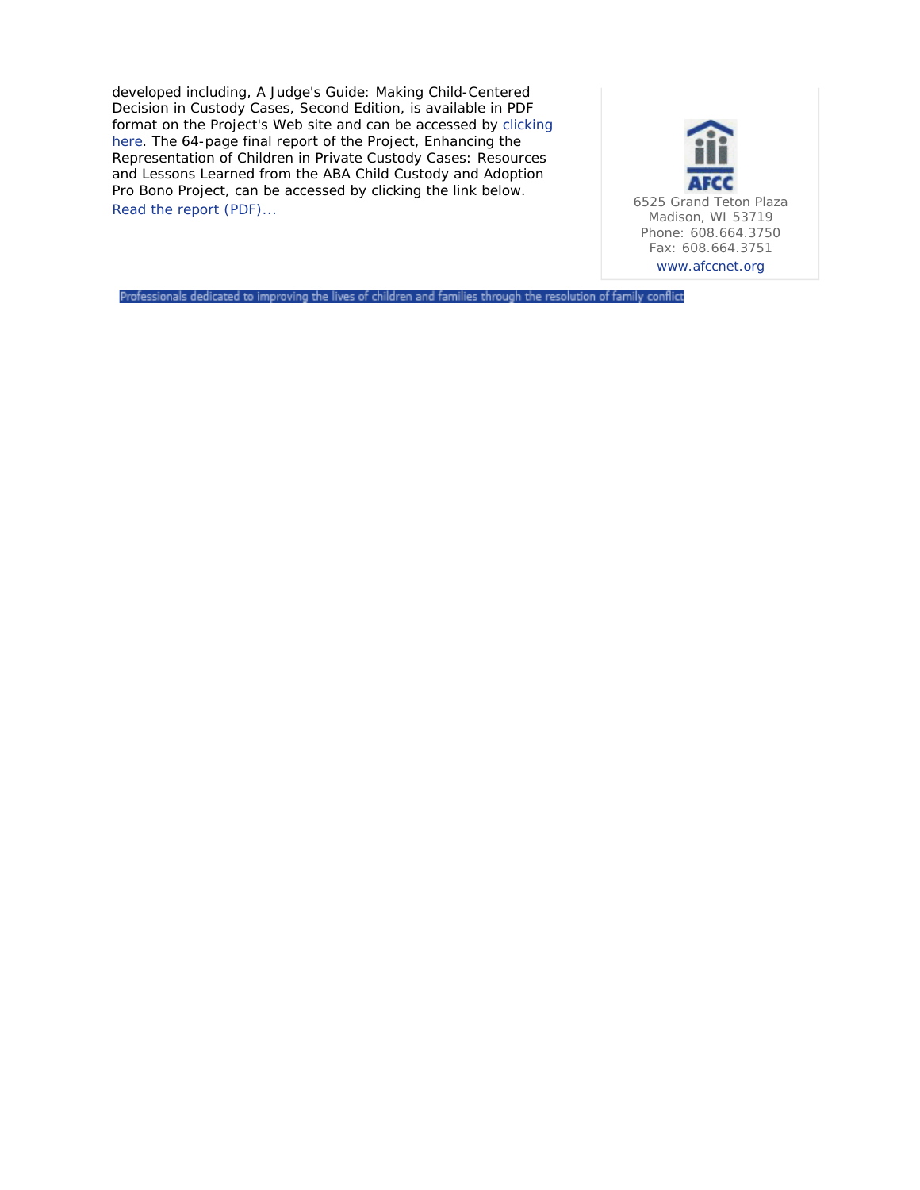developed including, *A Judge's Guide: Making Child-Centered Decision in Custody Cases, Second Edition*, is available in PDF format on the Project's Web site and can be accessed by clicking here. The 64-page final report of the Project, *Enhancing the Representation of Children in Private Custody Cases: Resources and Lessons Learned from the ABA Child Custody and Adoption Pro Bono Project*, can be accessed by clicking the link below. Read the report (PDF)...<br>Read the report (PDF)...



Professionals dedicated to improving the lives of children and families through the resolution of family conflict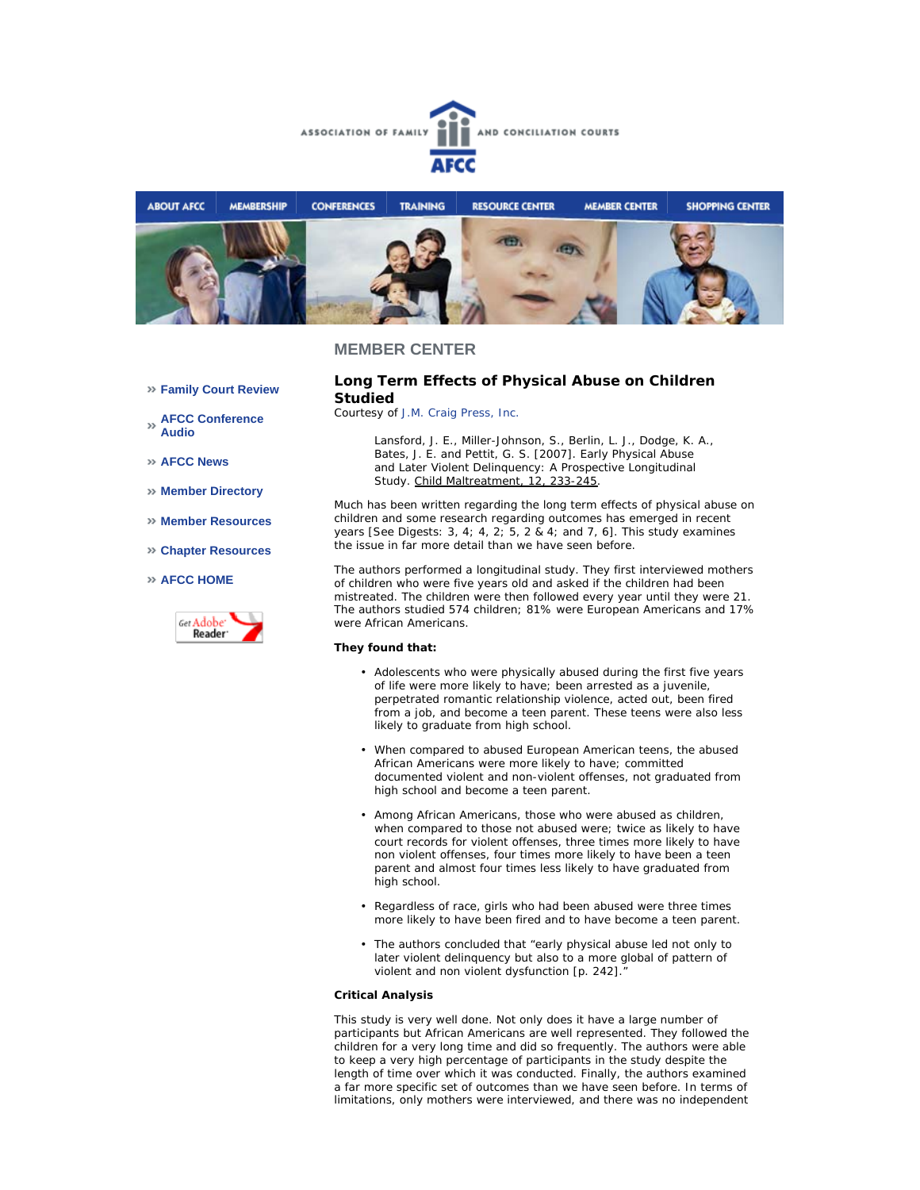



### **MEMBER CENTER**

**Family Court Review** 

**AFCC Conference Audio** 

**AFCC News** 

- **Member Directory**
- **Member Resources**
- **Chapter Resources**

#### **AFCC HOME**



### **Long Term Effects of Physical Abuse on Children Studied**

*Courtesy of J.M. Craig Press, Inc.*

*Lansford, J. E., Miller-Johnson, S., Berlin, L. J., Dodge, K. A., Bates, J. E. and Pettit, G. S. [2007]. Early Physical Abuse and Later Violent Delinquency: A Prospective Longitudinal Study. Child Maltreatment, 12, 233-245.*

Much has been written regarding the long term effects of physical abuse on children and some research regarding outcomes has emerged in recent years [See Digests: 3, 4; 4, 2; 5, 2 & 4; and 7, 6]. This study examines the issue in far more detail than we have seen before.

The authors performed a longitudinal study. They first interviewed mothers of children who were five years old and asked if the children had been mistreated. The children were then followed every year until they were 21. The authors studied 574 children; 81% were European Americans and 17% were African Americans.

#### **They found that:**

- Adolescents who were physically abused during the first five years of life were more likely to have; been arrested as a juvenile, perpetrated romantic relationship violence, acted out, been fired from a job, and become a teen parent. These teens were also less likely to graduate from high school.
- When compared to abused European American teens, the abused African Americans were more likely to have; committed documented violent and non-violent offenses, not graduated from high school and become a teen parent.
- Among African Americans, those who were abused as children, when compared to those not abused were; twice as likely to have court records for violent offenses, three times more likely to have non violent offenses, four times more likely to have been a teen parent and almost four times less likely to have graduated from high school.
- Regardless of race, girls who had been abused were three times more likely to have been fired and to have become a teen parent.
- The authors concluded that "early physical abuse led not only to later violent delinquency but also to a more global of pattern of violent and non violent dysfunction [p. 242]." •

#### **Critical Analysis**

This study is very well done. Not only does it have a large number of participants but African Americans are well represented. They followed the children for a very long time and did so frequently. The authors were able to keep a very high percentage of participants in the study despite the length of time over which it was conducted. Finally, the authors examined a far more specific set of outcomes than we have seen before. In terms of limitations, only mothers were interviewed, and there was no independent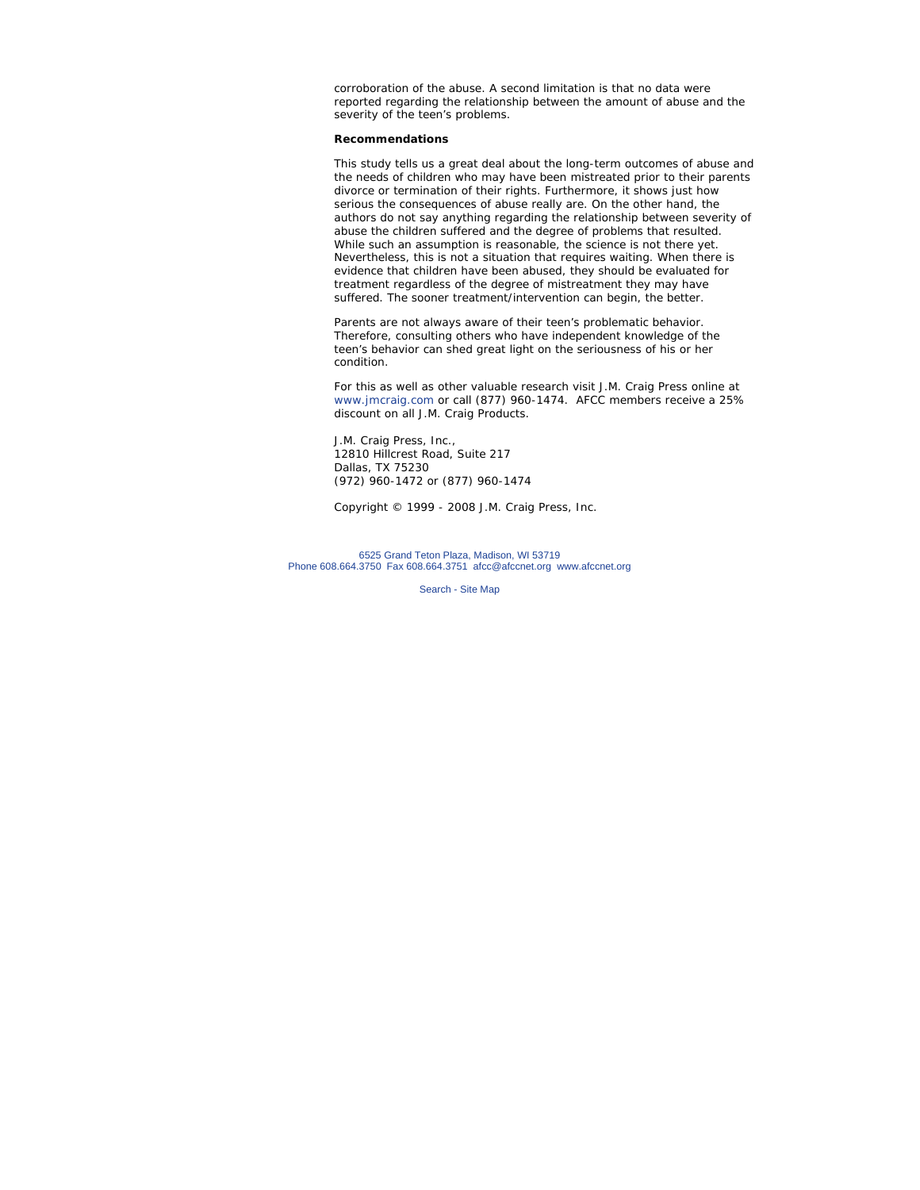corroboration of the abuse. A second limitation is that no data were reported regarding the relationship between the amount of abuse and the severity of the teen's problems.

### **Recommendations**

This study tells us a great deal about the long-term outcomes of abuse and the needs of children who may have been mistreated prior to their parents divorce or termination of their rights. Furthermore, it shows just how serious the consequences of abuse really are. On the other hand, the authors do not say anything regarding the relationship between severity of abuse the children suffered and the degree of problems that resulted. While such an assumption is reasonable, the science is not there yet. Nevertheless, this is not a situation that requires waiting. When there is evidence that children have been abused, they should be evaluated for treatment regardless of the degree of mistreatment they may have suffered. The sooner treatment/intervention can begin, the better.

Parents are not always aware of their teen's problematic behavior. Therefore, consulting others who have independent knowledge of the teen's behavior can shed great light on the seriousness of his or her condition.

*For this as well as other valuable research visit J.M. Craig Press online at www.jmcraig.com or call (877) 960-1474. AFCC members receive a 25% discount on all J.M. Craig Products.*

J.M. Craig Press, Inc., 12810 Hillcrest Road, Suite 217 Dallas, TX 75230 (972) 960-1472 or (877) 960-1474

*Copyright © 1999 - 2008 J.M. Craig Press, Inc.*

6525 Grand Teton Plaza, Madison, WI 53719 Phone 608.664.3750 Fax 608.664.3751 afcc@afccnet.org www.afccnet.org

Search - Site Map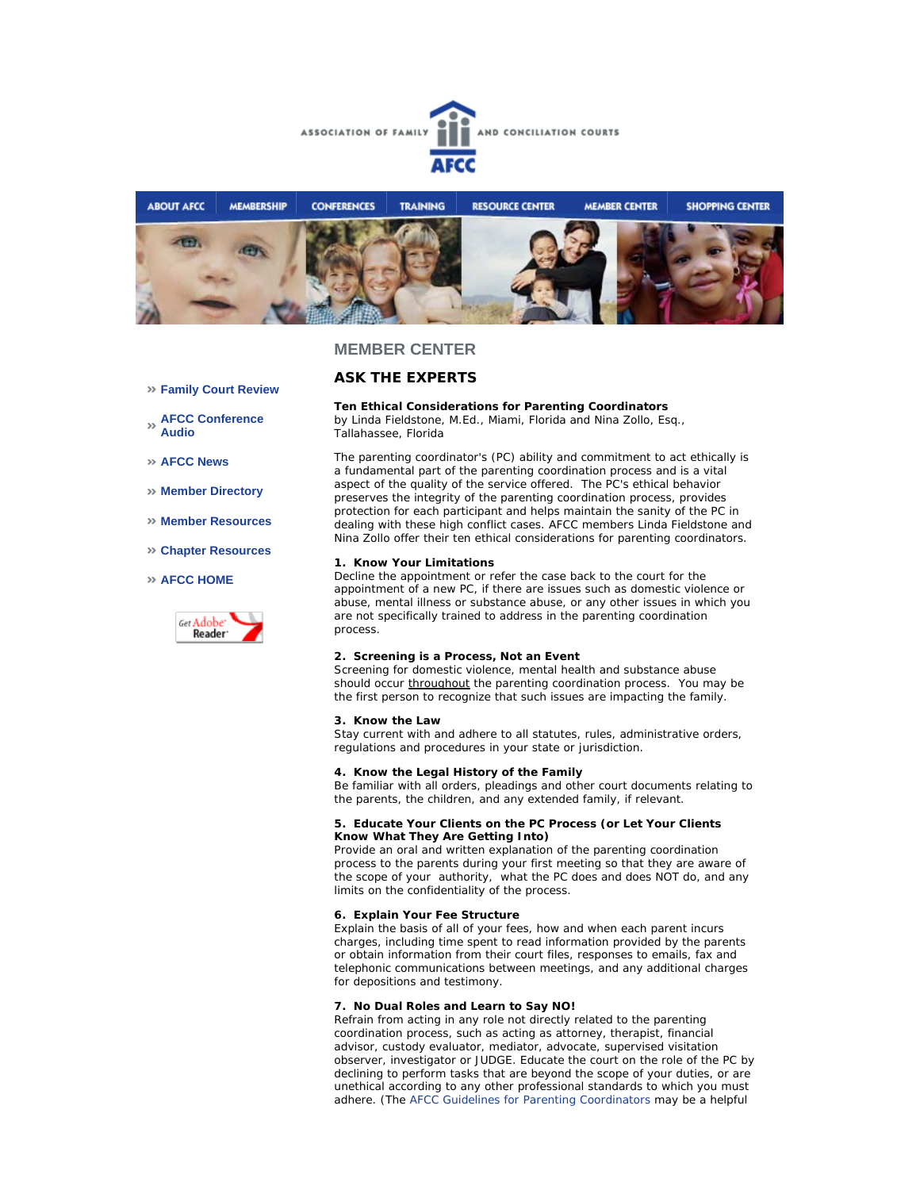



### **MEMBER CENTER**

# **ASK THE EXPERTS**

**Family Court Review** 

- **AFCC Conference Audio**
- **AFCC News**
- **Member Directory**
- **Member Resources**
- **Chapter Resources**

### **AFCC HOME**



**Ten Ethical Considerations for Parenting Coordinators** *by Linda Fieldstone, M.Ed., Miami, Florida and Nina Zollo, Esq.*,

*Tallahassee, Florida*

The parenting coordinator's (PC) ability and commitment to act ethically is a fundamental part of the parenting coordination process and is a vital aspect of the quality of the service offered. The PC's ethical behavior preserves the integrity of the parenting coordination process, provides protection for each participant and helps maintain the sanity of the PC in dealing with these high conflict cases. AFCC members Linda Fieldstone and Nina Zollo offer their ten ethical considerations for parenting coordinators.

#### **1. Know Your Limitations**

Decline the appointment or refer the case back to the court for the appointment of a new PC, if there are issues such as domestic violence or abuse, mental illness or substance abuse, or any other issues in which you are not specifically trained to address in the parenting coordination process.

#### **2. Screening is a Process, Not an Event**

Screening for domestic violence, mental health and substance abuse should occur throughout the parenting coordination process. You may be the first person to recognize that such issues are impacting the family.

#### **3. Know the Law**

Stay current with and adhere to all statutes, rules, administrative orders, regulations and procedures in your state or jurisdiction.

#### **4. Know the Legal History of the Family**

Be familiar with all orders, pleadings and other court documents relating to the parents, the children, and any extended family, if relevant.

#### **5. Educate Your Clients on the PC Process (***or* **Let Your Clients Know What They Are Getting Into)**

Provide an oral and written explanation of the parenting coordination process to the parents during your first meeting so that they are aware of the scope of your authority, what the PC does and does NOT do, and any limits on the confidentiality of the process.

### **6. Explain Your Fee Structure**

Explain the basis of all of your fees, how and when each parent incurs charges, including time spent to read information provided by the parents or obtain information from their court files, responses to emails, fax and telephonic communications between meetings, and any additional charges for depositions and testimony.

#### **7. No Dual Roles and Learn to Say NO!**

Refrain from acting in any role not directly related to the parenting coordination process, such as acting as attorney, therapist, financial advisor, custody evaluator, mediator, advocate, supervised visitation observer, investigator or JUDGE. Educate the court on the role of the PC by declining to perform tasks that are beyond the scope of your duties, or are unethical according to any other professional standards to which you must adhere. (The AFCC Guidelines for Parenting Coordinators may be a helpful